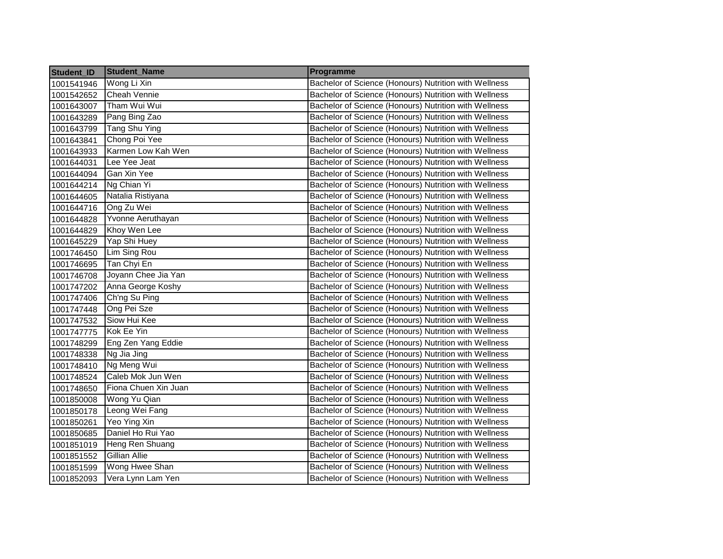| Student_ID | <b>Student Name</b>  | Programme                                             |  |
|------------|----------------------|-------------------------------------------------------|--|
| 1001541946 | Wong Li Xin          | Bachelor of Science (Honours) Nutrition with Wellness |  |
| 1001542652 | Cheah Vennie         | Bachelor of Science (Honours) Nutrition with Wellness |  |
| 1001643007 | Tham Wui Wui         | Bachelor of Science (Honours) Nutrition with Wellness |  |
| 1001643289 | Pang Bing Zao        | Bachelor of Science (Honours) Nutrition with Wellness |  |
| 1001643799 | <b>Tang Shu Ying</b> | Bachelor of Science (Honours) Nutrition with Wellness |  |
| 1001643841 | Chong Poi Yee        | Bachelor of Science (Honours) Nutrition with Wellness |  |
| 1001643933 | Karmen Low Kah Wen   | Bachelor of Science (Honours) Nutrition with Wellness |  |
| 1001644031 | Lee Yee Jeat         | Bachelor of Science (Honours) Nutrition with Wellness |  |
| 1001644094 | Gan Xin Yee          | Bachelor of Science (Honours) Nutrition with Wellness |  |
| 1001644214 | Ng Chian Yi          | Bachelor of Science (Honours) Nutrition with Wellness |  |
| 1001644605 | Natalia Ristiyana    | Bachelor of Science (Honours) Nutrition with Wellness |  |
| 1001644716 | Ong Zu Wei           | Bachelor of Science (Honours) Nutrition with Wellness |  |
| 1001644828 | Yvonne Aeruthayan    | Bachelor of Science (Honours) Nutrition with Wellness |  |
| 1001644829 | Khoy Wen Lee         | Bachelor of Science (Honours) Nutrition with Wellness |  |
| 1001645229 | Yap Shi Huey         | Bachelor of Science (Honours) Nutrition with Wellness |  |
| 1001746450 | Lim Sing Rou         | Bachelor of Science (Honours) Nutrition with Wellness |  |
| 1001746695 | Tan Chyi En          | Bachelor of Science (Honours) Nutrition with Wellness |  |
| 1001746708 | Joyann Chee Jia Yan  | Bachelor of Science (Honours) Nutrition with Wellness |  |
| 1001747202 | Anna George Koshy    | Bachelor of Science (Honours) Nutrition with Wellness |  |
| 1001747406 | Ch'ng Su Ping        | Bachelor of Science (Honours) Nutrition with Wellness |  |
| 1001747448 | Ong Pei Sze          | Bachelor of Science (Honours) Nutrition with Wellness |  |
| 1001747532 | Siow Hui Kee         | Bachelor of Science (Honours) Nutrition with Wellness |  |
| 1001747775 | Kok Ee Yin           | Bachelor of Science (Honours) Nutrition with Wellness |  |
| 1001748299 | Eng Zen Yang Eddie   | Bachelor of Science (Honours) Nutrition with Wellness |  |
| 1001748338 | Ng Jia Jing          | Bachelor of Science (Honours) Nutrition with Wellness |  |
| 1001748410 | Ng Meng Wui          | Bachelor of Science (Honours) Nutrition with Wellness |  |
| 1001748524 | Caleb Mok Jun Wen    | Bachelor of Science (Honours) Nutrition with Wellness |  |
| 1001748650 | Fiona Chuen Xin Juan | Bachelor of Science (Honours) Nutrition with Wellness |  |
| 1001850008 | Wong Yu Qian         | Bachelor of Science (Honours) Nutrition with Wellness |  |
| 1001850178 | Leong Wei Fang       | Bachelor of Science (Honours) Nutrition with Wellness |  |
| 1001850261 | Yeo Ying Xin         | Bachelor of Science (Honours) Nutrition with Wellness |  |
| 1001850685 | Daniel Ho Rui Yao    | Bachelor of Science (Honours) Nutrition with Wellness |  |
| 1001851019 | Heng Ren Shuang      | Bachelor of Science (Honours) Nutrition with Wellness |  |
| 1001851552 | <b>Gillian Allie</b> | Bachelor of Science (Honours) Nutrition with Wellness |  |
| 1001851599 | Wong Hwee Shan       | Bachelor of Science (Honours) Nutrition with Wellness |  |
| 1001852093 | Vera Lynn Lam Yen    | Bachelor of Science (Honours) Nutrition with Wellness |  |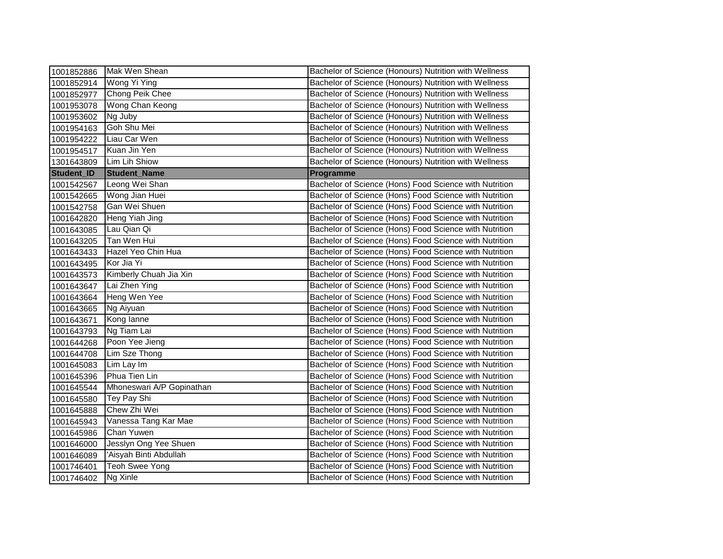| 1001852886 | Mak Wen Shean                                                            | Bachelor of Science (Honours) Nutrition with Wellness  |
|------------|--------------------------------------------------------------------------|--------------------------------------------------------|
| 1001852914 | Wong Yi Ying                                                             | Bachelor of Science (Honours) Nutrition with Wellness  |
| 1001852977 | Chong Peik Chee                                                          | Bachelor of Science (Honours) Nutrition with Wellness  |
| 1001953078 | Wong Chan Keong<br>Bachelor of Science (Honours) Nutrition with Wellness |                                                        |
| 1001953602 | Ng Juby<br>Bachelor of Science (Honours) Nutrition with Wellness         |                                                        |
| 1001954163 | Goh Shu Mei<br>Bachelor of Science (Honours) Nutrition with Wellness     |                                                        |
| 1001954222 | Liau Car Wen                                                             | Bachelor of Science (Honours) Nutrition with Wellness  |
| 1001954517 | Kuan Jin Yen                                                             | Bachelor of Science (Honours) Nutrition with Wellness  |
| 1301643809 | Lim Lih Shiow                                                            | Bachelor of Science (Honours) Nutrition with Wellness  |
| Student_ID | <b>Student_Name</b>                                                      | Programme                                              |
| 1001542567 | Leong Wei Shan                                                           | Bachelor of Science (Hons) Food Science with Nutrition |
| 1001542665 | Wong Jian Huei                                                           | Bachelor of Science (Hons) Food Science with Nutrition |
| 1001542758 | Gan Wei Shuen                                                            | Bachelor of Science (Hons) Food Science with Nutrition |
| 1001642820 | Heng Yiah Jing                                                           | Bachelor of Science (Hons) Food Science with Nutrition |
| 1001643085 | Lau Qian Qi                                                              | Bachelor of Science (Hons) Food Science with Nutrition |
| 1001643205 | Tan Wen Hui                                                              | Bachelor of Science (Hons) Food Science with Nutrition |
| 1001643433 | Hazel Yeo Chin Hua                                                       | Bachelor of Science (Hons) Food Science with Nutrition |
| 1001643495 | Kor Jia Yi                                                               | Bachelor of Science (Hons) Food Science with Nutrition |
| 1001643573 | Kimberly Chuah Jia Xin                                                   | Bachelor of Science (Hons) Food Science with Nutrition |
| 1001643647 | Lai Zhen Ying                                                            | Bachelor of Science (Hons) Food Science with Nutrition |
| 1001643664 | Heng Wen Yee                                                             | Bachelor of Science (Hons) Food Science with Nutrition |
| 1001643665 | Ng Aiyuan                                                                | Bachelor of Science (Hons) Food Science with Nutrition |
| 1001643671 | Kong lanne                                                               | Bachelor of Science (Hons) Food Science with Nutrition |
| 1001643793 | Ng Tiam Lai                                                              | Bachelor of Science (Hons) Food Science with Nutrition |
| 1001644268 | Poon Yee Jieng                                                           | Bachelor of Science (Hons) Food Science with Nutrition |
| 1001644708 | Lim Sze Thong                                                            | Bachelor of Science (Hons) Food Science with Nutrition |
| 1001645083 | Lim Lay Im                                                               | Bachelor of Science (Hons) Food Science with Nutrition |
| 1001645396 | Phua Tien Lin                                                            | Bachelor of Science (Hons) Food Science with Nutrition |
| 1001645544 | Mhoneswari A/P Gopinathan                                                | Bachelor of Science (Hons) Food Science with Nutrition |
| 1001645580 | Tey Pay Shi                                                              | Bachelor of Science (Hons) Food Science with Nutrition |
| 1001645888 | Chew Zhi Wei                                                             | Bachelor of Science (Hons) Food Science with Nutrition |
| 1001645943 | Vanessa Tang Kar Mae                                                     | Bachelor of Science (Hons) Food Science with Nutrition |
| 1001645986 | Chan Yuwen                                                               | Bachelor of Science (Hons) Food Science with Nutrition |
| 1001646000 | Jesslyn Ong Yee Shuen                                                    | Bachelor of Science (Hons) Food Science with Nutrition |
| 1001646089 | 'Aisyah Binti Abdullah                                                   | Bachelor of Science (Hons) Food Science with Nutrition |
| 1001746401 | <b>Teoh Swee Yong</b>                                                    | Bachelor of Science (Hons) Food Science with Nutrition |
| 1001746402 | Ng Xinle                                                                 | Bachelor of Science (Hons) Food Science with Nutrition |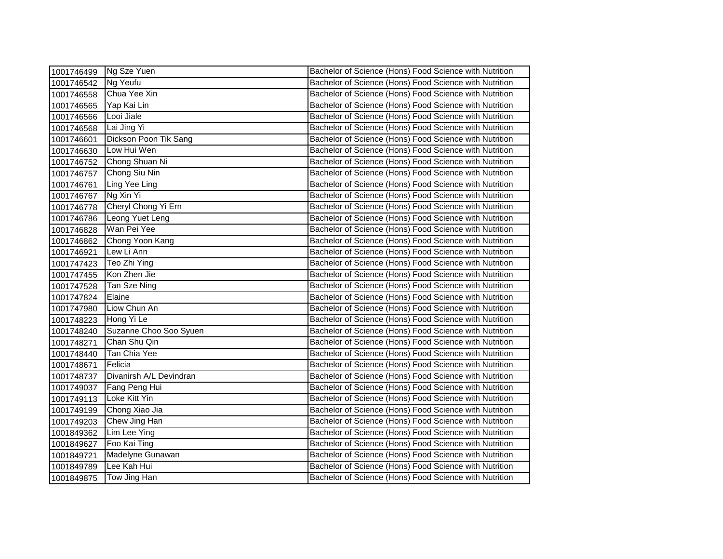| 1001746499 | Ng Sze Yuen             | Bachelor of Science (Hons) Food Science with Nutrition |
|------------|-------------------------|--------------------------------------------------------|
| 1001746542 | Ng Yeufu                | Bachelor of Science (Hons) Food Science with Nutrition |
| 1001746558 | Chua Yee Xin            | Bachelor of Science (Hons) Food Science with Nutrition |
| 1001746565 | Yap Kai Lin             | Bachelor of Science (Hons) Food Science with Nutrition |
| 1001746566 | Looi Jiale              | Bachelor of Science (Hons) Food Science with Nutrition |
| 1001746568 | Lai Jing Yi             | Bachelor of Science (Hons) Food Science with Nutrition |
| 1001746601 | Dickson Poon Tik Sang   | Bachelor of Science (Hons) Food Science with Nutrition |
| 1001746630 | Low Hui Wen             | Bachelor of Science (Hons) Food Science with Nutrition |
| 1001746752 | Chong Shuan Ni          | Bachelor of Science (Hons) Food Science with Nutrition |
| 1001746757 | Chong Siu Nin           | Bachelor of Science (Hons) Food Science with Nutrition |
| 1001746761 | <b>Ling Yee Ling</b>    | Bachelor of Science (Hons) Food Science with Nutrition |
| 1001746767 | Ng Xin Yi               | Bachelor of Science (Hons) Food Science with Nutrition |
| 1001746778 | Cheryl Chong Yi Ern     | Bachelor of Science (Hons) Food Science with Nutrition |
| 1001746786 | Leong Yuet Leng         | Bachelor of Science (Hons) Food Science with Nutrition |
| 1001746828 | Wan Pei Yee             | Bachelor of Science (Hons) Food Science with Nutrition |
| 1001746862 | Chong Yoon Kang         | Bachelor of Science (Hons) Food Science with Nutrition |
| 1001746921 | Lew Li Ann              | Bachelor of Science (Hons) Food Science with Nutrition |
| 1001747423 | Teo Zhi Ying            | Bachelor of Science (Hons) Food Science with Nutrition |
| 1001747455 | Kon Zhen Jie            | Bachelor of Science (Hons) Food Science with Nutrition |
| 1001747528 | Tan Sze Ning            | Bachelor of Science (Hons) Food Science with Nutrition |
| 1001747824 | Elaine                  | Bachelor of Science (Hons) Food Science with Nutrition |
| 1001747980 | Liow Chun An            | Bachelor of Science (Hons) Food Science with Nutrition |
| 1001748223 | Hong Yi Le              | Bachelor of Science (Hons) Food Science with Nutrition |
| 1001748240 | Suzanne Choo Soo Syuen  | Bachelor of Science (Hons) Food Science with Nutrition |
| 1001748271 | Chan Shu Qin            | Bachelor of Science (Hons) Food Science with Nutrition |
| 1001748440 | Tan Chia Yee            | Bachelor of Science (Hons) Food Science with Nutrition |
| 1001748671 | Felicia                 | Bachelor of Science (Hons) Food Science with Nutrition |
| 1001748737 | Divanirsh A/L Devindran | Bachelor of Science (Hons) Food Science with Nutrition |
| 1001749037 | Fang Peng Hui           | Bachelor of Science (Hons) Food Science with Nutrition |
| 1001749113 | Loke Kitt Yin           | Bachelor of Science (Hons) Food Science with Nutrition |
| 1001749199 | Chong Xiao Jia          | Bachelor of Science (Hons) Food Science with Nutrition |
| 1001749203 | Chew Jing Han           | Bachelor of Science (Hons) Food Science with Nutrition |
| 1001849362 | Lim Lee Ying            | Bachelor of Science (Hons) Food Science with Nutrition |
| 1001849627 | Foo Kai Ting            | Bachelor of Science (Hons) Food Science with Nutrition |
| 1001849721 | Madelyne Gunawan        | Bachelor of Science (Hons) Food Science with Nutrition |
| 1001849789 | Lee Kah Hui             | Bachelor of Science (Hons) Food Science with Nutrition |
| 1001849875 | Tow Jing Han            | Bachelor of Science (Hons) Food Science with Nutrition |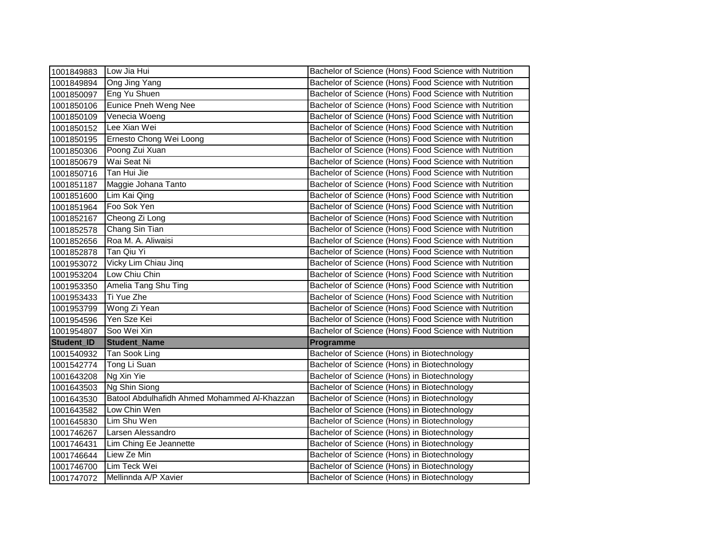| 1001849883 | Low Jia Hui                                  | Bachelor of Science (Hons) Food Science with Nutrition |
|------------|----------------------------------------------|--------------------------------------------------------|
| 1001849894 | Ong Jing Yang                                | Bachelor of Science (Hons) Food Science with Nutrition |
| 1001850097 | Eng Yu Shuen                                 | Bachelor of Science (Hons) Food Science with Nutrition |
| 1001850106 | <b>Eunice Pneh Weng Nee</b>                  | Bachelor of Science (Hons) Food Science with Nutrition |
| 1001850109 | Venecia Woeng                                | Bachelor of Science (Hons) Food Science with Nutrition |
| 1001850152 | Lee Xian Wei                                 | Bachelor of Science (Hons) Food Science with Nutrition |
| 1001850195 | Ernesto Chong Wei Loong                      | Bachelor of Science (Hons) Food Science with Nutrition |
| 1001850306 | Poong Zui Xuan                               | Bachelor of Science (Hons) Food Science with Nutrition |
| 1001850679 | Wai Seat Ni                                  | Bachelor of Science (Hons) Food Science with Nutrition |
| 1001850716 | Tan Hui Jie                                  | Bachelor of Science (Hons) Food Science with Nutrition |
| 1001851187 | Maggie Johana Tanto                          | Bachelor of Science (Hons) Food Science with Nutrition |
| 1001851600 | Lim Kai Qing                                 | Bachelor of Science (Hons) Food Science with Nutrition |
| 1001851964 | Foo Sok Yen                                  | Bachelor of Science (Hons) Food Science with Nutrition |
| 1001852167 | Cheong Zi Long                               | Bachelor of Science (Hons) Food Science with Nutrition |
| 1001852578 | Chang Sin Tian                               | Bachelor of Science (Hons) Food Science with Nutrition |
| 1001852656 | Roa M. A. Aliwaisi                           | Bachelor of Science (Hons) Food Science with Nutrition |
| 1001852878 | Tan Qiu Yi                                   | Bachelor of Science (Hons) Food Science with Nutrition |
| 1001953072 | Vicky Lim Chiau Jinq                         | Bachelor of Science (Hons) Food Science with Nutrition |
| 1001953204 | Low Chiu Chin                                | Bachelor of Science (Hons) Food Science with Nutrition |
| 1001953350 | Amelia Tang Shu Ting                         | Bachelor of Science (Hons) Food Science with Nutrition |
| 1001953433 | Ti Yue Zhe                                   | Bachelor of Science (Hons) Food Science with Nutrition |
| 1001953799 | Wong Zi Yean                                 | Bachelor of Science (Hons) Food Science with Nutrition |
| 1001954596 | Yen Sze Kei                                  | Bachelor of Science (Hons) Food Science with Nutrition |
| 1001954807 | Soo Wei Xin                                  | Bachelor of Science (Hons) Food Science with Nutrition |
| Student_ID | <b>Student_Name</b>                          | Programme                                              |
| 1001540932 | Tan Sook Ling                                | Bachelor of Science (Hons) in Biotechnology            |
| 1001542774 | Tong Li Suan                                 | Bachelor of Science (Hons) in Biotechnology            |
| 1001643208 | Ng Xin Yie                                   | Bachelor of Science (Hons) in Biotechnology            |
| 1001643503 | Ng Shin Siong                                | Bachelor of Science (Hons) in Biotechnology            |
| 1001643530 | Batool Abdulhafidh Ahmed Mohammed Al-Khazzan | Bachelor of Science (Hons) in Biotechnology            |
| 1001643582 | Low Chin Wen                                 | Bachelor of Science (Hons) in Biotechnology            |
| 1001645830 | Lim Shu Wen                                  | Bachelor of Science (Hons) in Biotechnology            |
| 1001746267 | Larsen Alessandro                            | Bachelor of Science (Hons) in Biotechnology            |
| 1001746431 | Lim Ching Ee Jeannette                       | Bachelor of Science (Hons) in Biotechnology            |
| 1001746644 | Liew Ze Min                                  | Bachelor of Science (Hons) in Biotechnology            |
| 1001746700 | Lim Teck Wei                                 | Bachelor of Science (Hons) in Biotechnology            |
| 1001747072 | Mellinnda A/P Xavier                         | Bachelor of Science (Hons) in Biotechnology            |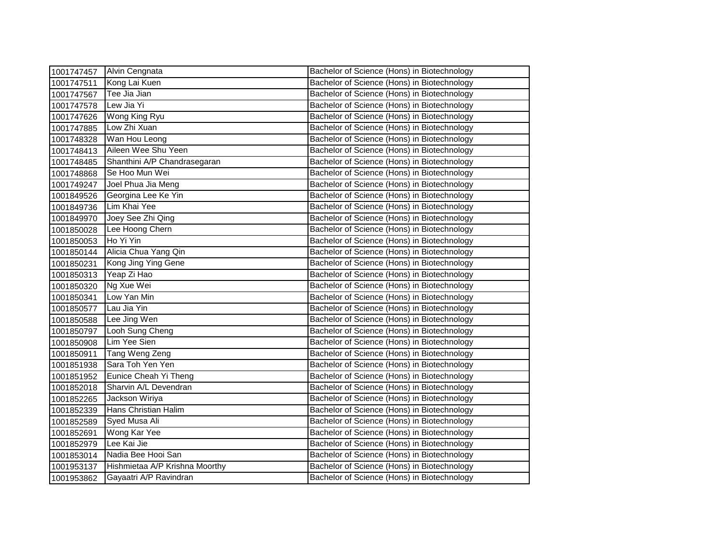| 1001747457 | Alvin Cengnata                 | Bachelor of Science (Hons) in Biotechnology |
|------------|--------------------------------|---------------------------------------------|
| 1001747511 | Kong Lai Kuen                  | Bachelor of Science (Hons) in Biotechnology |
| 1001747567 | Tee Jia Jian                   | Bachelor of Science (Hons) in Biotechnology |
| 1001747578 | Lew Jia Yi                     | Bachelor of Science (Hons) in Biotechnology |
| 1001747626 | Wong King Ryu                  | Bachelor of Science (Hons) in Biotechnology |
| 1001747885 | Low Zhi Xuan                   | Bachelor of Science (Hons) in Biotechnology |
| 1001748328 | Wan Hou Leong                  | Bachelor of Science (Hons) in Biotechnology |
| 1001748413 | Aileen Wee Shu Yeen            | Bachelor of Science (Hons) in Biotechnology |
| 1001748485 | Shanthini A/P Chandrasegaran   | Bachelor of Science (Hons) in Biotechnology |
| 1001748868 | Se Hoo Mun Wei                 | Bachelor of Science (Hons) in Biotechnology |
| 1001749247 | Joel Phua Jia Meng             | Bachelor of Science (Hons) in Biotechnology |
| 1001849526 | Georgina Lee Ke Yin            | Bachelor of Science (Hons) in Biotechnology |
| 1001849736 | Lim Khai Yee                   | Bachelor of Science (Hons) in Biotechnology |
| 1001849970 | Joey See Zhi Qing              | Bachelor of Science (Hons) in Biotechnology |
| 1001850028 | Lee Hoong Chern                | Bachelor of Science (Hons) in Biotechnology |
| 1001850053 | Ho Yi Yin                      | Bachelor of Science (Hons) in Biotechnology |
| 1001850144 | Alicia Chua Yang Qin           | Bachelor of Science (Hons) in Biotechnology |
| 1001850231 | Kong Jing Ying Gene            | Bachelor of Science (Hons) in Biotechnology |
| 1001850313 | Yeap Zi Hao                    | Bachelor of Science (Hons) in Biotechnology |
| 1001850320 | Ng Xue Wei                     | Bachelor of Science (Hons) in Biotechnology |
| 1001850341 | Low Yan Min                    | Bachelor of Science (Hons) in Biotechnology |
| 1001850577 | Lau Jia Yin                    | Bachelor of Science (Hons) in Biotechnology |
| 1001850588 | Lee Jing Wen                   | Bachelor of Science (Hons) in Biotechnology |
| 1001850797 | Looh Sung Cheng                | Bachelor of Science (Hons) in Biotechnology |
| 1001850908 | Lim Yee Sien                   | Bachelor of Science (Hons) in Biotechnology |
| 1001850911 | Tang Weng Zeng                 | Bachelor of Science (Hons) in Biotechnology |
| 1001851938 | Sara Toh Yen Yen               | Bachelor of Science (Hons) in Biotechnology |
| 1001851952 | Eunice Cheah Yi Theng          | Bachelor of Science (Hons) in Biotechnology |
| 1001852018 | Sharvin A/L Devendran          | Bachelor of Science (Hons) in Biotechnology |
| 1001852265 | Jackson Wiriya                 | Bachelor of Science (Hons) in Biotechnology |
| 1001852339 | Hans Christian Halim           | Bachelor of Science (Hons) in Biotechnology |
| 1001852589 | Syed Musa Ali                  | Bachelor of Science (Hons) in Biotechnology |
| 1001852691 | Wong Kar Yee                   | Bachelor of Science (Hons) in Biotechnology |
| 1001852979 | Lee Kai Jie                    | Bachelor of Science (Hons) in Biotechnology |
| 1001853014 | Nadia Bee Hooi San             | Bachelor of Science (Hons) in Biotechnology |
| 1001953137 | Hishmietaa A/P Krishna Moorthy | Bachelor of Science (Hons) in Biotechnology |
| 1001953862 | Gayaatri A/P Ravindran         | Bachelor of Science (Hons) in Biotechnology |